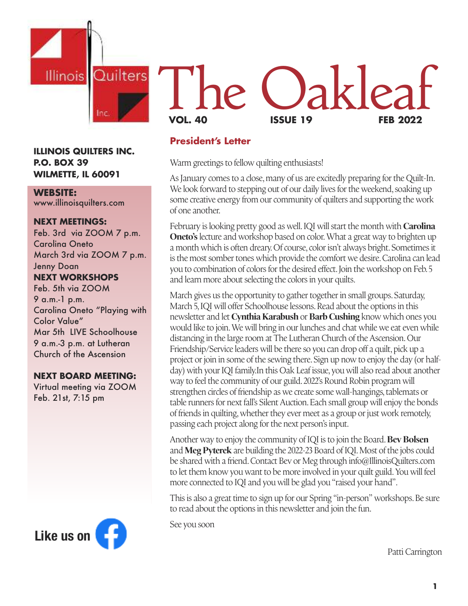

#### **ILLINOIS QUILTERS INC. P.O. BOX 39 WILMETTE, IL 60091**

#### **WEBSITE:**

www.illinoisquilters.com

#### **NEXT MEETINGS:**

Feb. 3rd via ZOOM 7 p.m. Carolina Oneto March 3rd via ZOOM 7 p.m. Jenny Doan **NEXT WORKSHOPS** Feb. 5th via ZOOM 9 a.m.-1 p.m.

Carolina Oneto "Playing with Color Value" Mar 5th LIVE Schoolhouse 9 a.m.-3 p.m. at Lutheran Church of the Ascension

#### **NEXT BOARD MEETING:**

Virtual meeting via ZOOM Feb. 21st, 7:15 pm



# L'he Oak **VOL. 40 ISSUE 19 FEB 2022**

#### **President's Letter**

Warm greetings to fellow quilting enthusiasts!

As January comes to a close, many of us are excitedly preparing for the Quilt-In. We look forward to stepping out of our daily lives for the weekend, soaking up some creative energy from our community of quilters and supporting the work of one another.

February is looking pretty good as well. IQI will start the month with **Carolina Oneto's** lecture and workshop based on color.What a great way to brighten up a month which is often dreary. Of course, color isn't always bright. Sometimes it is the most somber tones which provide the comfort we desire. Carolina can lead you to combination of colors for the desired effect. Join the workshop on Feb.5 and learn more about selecting the colors in your quilts.

March gives us the opportunity to gather together in small groups. Saturday, March 5, IQI will offer Schoolhouse lessons. Read about the options in this newsletter and let **Cynthia Karabush** or **Barb Cushing** know which ones you would like to join.We will bring in our lunches and chat while we eat even while distancing in the large room at The Lutheran Church of the Ascension.Our Friendship/Service leaders will be there so you can drop off a quilt, pick up a project or join in some of the sewing there. Sign up now to enjoy the day (or halfday) with your IQI family.In this Oak Leaf issue, you will also read about another way to feel the community of our guild.2022's Round Robin program will strengthen circles of friendship as we create some wall-hangings, tablemats or table runners for next fall's Silent Auction. Each small group will enjoy the bonds of friends in quilting,whether they ever meet as a group or just work remotely, passing each project along for the next person's input.

Another way to enjoy the community of IQI is to join the Board.**Bev Bolsen** and **Meg Pyterek** are building the 2022-23 Board of IQI.Most of the jobs could be shared with a friend.Contact Bev or Meg through info@IllinoisQuilters.com to let them know you want to be more involved in your quilt guild.You will feel more connected to IQI and you will be glad you "raised your hand".

This is also a great time to sign up for our Spring "in-person" workshops. Be sure to read about the options in this newsletter and join the fun.

See you soon

Patti Carrington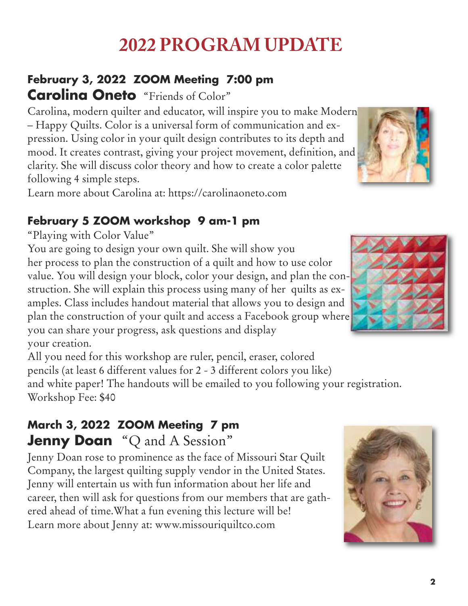## **2022 PROGRAM UPDATE**

## **February 3, 2022 ZOOM Meeting 7:00 pm Carolina Oneto** "Friends of Color"

Carolina, modern quilter and educator, will inspire you to make Modern – Happy Quilts. Color is a universal form of communication and expression. Using color in your quilt design contributes to its depth and mood. It creates contrast, giving your project movement, definition, and clarity. She will discuss color theory and how to create a color palette following 4 simple steps.

Learn more about Carolina at: https://carolinaoneto.com

## **February 5 ZOOM workshop 9 am-1 pm**

"Playing with Color Value"

You are going to design your own quilt. She will show you her process to plan the construction of a quilt and how to use color value. You will design your block, color your design, and plan the construction. She will explain this process using many of her quilts as examples. Class includes handout material that allows you to design and plan the construction of your quilt and access a Facebook group where you can share your progress, ask questions and display your creation.

All you need for this workshop are ruler, pencil, eraser, colored pencils (at least 6 different values for 2 - 3 different colors you like) and white paper! The handouts will be emailed to you following your registration. Workshop Fee: \$40

## **March 3, 2022 ZOOM Meeting 7 pm Jenny Doan** "Q and A Session "

Jenny Doan rose to prominence as the face of Missouri Star Quilt Company, the largest quilting supply vendor in the United States. Jenny will entertain us with fun information about her life and career, then will ask for questions from our members that are gathered ahead of time.What a fun evening this lecture will be! Learn more about Jenny at: www.missouriquiltco.com





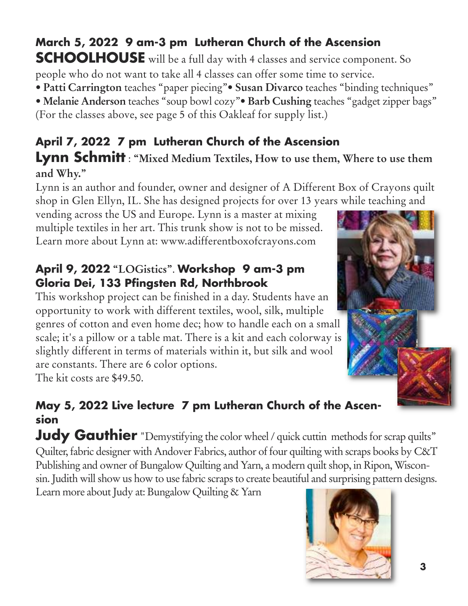## **March 5, 2022 9 am-3 pm Lutheran Church of the Ascension**

**SCHOOLHOUSE** will be a full day with 4 classes and service component. So people who do not want to take all 4 classes can offer some time to service.

• **Patti Carrington** teaches "paper piecing"• **Susan Divarco** teaches "binding techniques" • **Melanie Anderson** teaches "soup bowl cozy"• **Barb Cushing** teaches "gadget zipper bags" (For the classes above, see page 5 of this Oakleaf for supply list.)

## **April 7, 2022 7 pm Lutheran Church of the Ascension**

**Lynn Schmitt** : **"Mixed Medium Textiles, How to use them, Where to use them and Why."**

Lynn is an author and founder, owner and designer of A Different Box of Crayons quilt shop in Glen Ellyn, IL. She has designed projects for over 13 years while teaching and

vending across the US and Europe. Lynn is a master at mixing multiple textiles in her art. This trunk show is not to be missed. Learn more about Lynn at: www.adifferentboxofcrayons.com

## **April 9, 2022 "LOGistics"**. **Workshop 9 am-3 pm Gloria Dei, 133 Pfingsten Rd, Northbrook**

This workshop project can be finished in a day. Students have an opportunity to work with different textiles, wool, silk, multiple genres of cotton and even home dec; how to handle each on a small scale; it's a pillow or a table mat. There is a kit and each colorway is slightly different in terms of materials within it, but silk and wool are constants. There are 6 color options.

The kit costs are \$49.50.

## **May 5, 2022 Live lecture 7 pm Lutheran Church of the Ascension**

**Judy Gauthier** "Demystifying the color wheel / quick cuttin methods for scrap quilts" Quilter, fabric designer with Andover Fabrics, author of four quilting with scraps books by C&T Publishing and owner of Bungalow Quilting and Yarn, a modern quilt shop, in Ripon, Wisconsin. Judith will show us how to use fabric scraps to create beautiful and surprising pattern designs.

Learn more about Judy at: Bungalow Quilting & Yarn



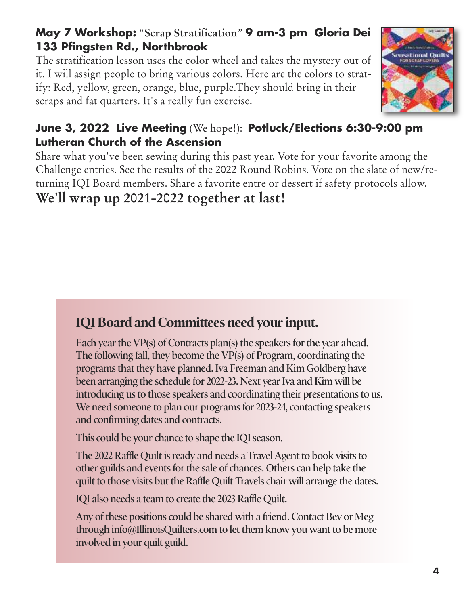## **May 7 Workshop:** "**Scrap Stratification**" **9 am-3 pm Gloria Dei 133 Pfingsten Rd., Northbrook**

The stratification lesson uses the color wheel and takes the mystery out of it. I will assign people to bring various colors. Here are the colors to stratify: Red, yellow, green, orange, blue, purple.They should bring in their scraps and fat quarters. It's a really fun exercise.



## **June 3, 2022 Live Meeting** (We hope!): **Potluck/Elections 6:30-9:00 pm Lutheran Church of the Ascension**

Share what you've been sewing during this past year. Vote for your favorite among the Challenge entries. See the results of the 2022 Round Robins. Vote on the slate of new/returning IQI Board members. Share a favorite entre or dessert if safety protocols allow.

**We'll wrap up 2021-2022 together at last!**

## **IQI** Board and Committees need your input.

**Each year the VP(s) of Contracts plan(s) the speakers for the year ahead. The following fall, they become the VP(s) of Program, coordinating the programs that they have planned. Iva Freeman and Kim Goldberg have been arranging the schedule for 2022-23. Next year Iva and Kim will be introducing us to those speakers and coordinating their presentations to us. We need someone to plan our programs for 2023-24, contacting speakers and confirming dates and contracts.**

**This could be your chance to shape the IQI season.**

**The 2022 Raffle Quilt is ready and needs a Travel Agent to book visits to other guilds and events for the sale of chances. Others can help take the quilt to those visits but the Raffle Quilt Travels chair will arrange the dates.**

**IQI also needs a team to create the 2023 Raffle Quilt.**

**Any of these positions could be shared with a friend. Contact Bev or Meg through info@IllinoisQuilters.com to let them know you want to be more involved in your quilt guild.**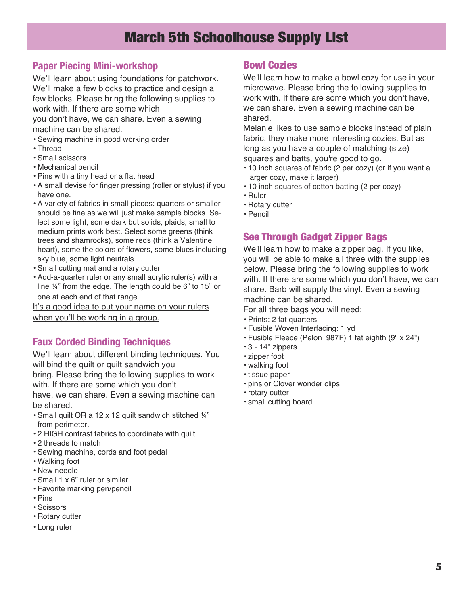## March 5th Schoolhouse Supply List

#### **Paper Piecing Mini-workshop**

We'll learn about using foundations for patchwork. We'll make a few blocks to practice and design a few blocks. Please bring the following supplies to work with. If there are some which

you don't have, we can share. Even a sewing machine can be shared.

- Sewing machine in good working order
- Thread
- Small scissors
- Mechanical pencil
- Pins with a tiny head or a flat head
- A small devise for finger pressing (roller or stylus) if you have one.
- A variety of fabrics in small pieces: quarters or smaller should be fine as we will just make sample blocks. Select some light, some dark but solids, plaids, small to medium prints work best. Select some greens (think trees and shamrocks), some reds (think a Valentine heart), some the colors of flowers, some blues including sky blue, some light neutrals....
- Small cutting mat and a rotary cutter
- Add-a-quarter ruler or any small acrylic ruler(s) with a line ¼" from the edge. The length could be 6" to 15" or one at each end of that range.

It's a good idea to put your name on your rulers when you'll be working in a group.

#### **Faux Corded Binding Techniques**

We'll learn about different binding techniques. You will bind the quilt or quilt sandwich you

bring. Please bring the following supplies to work with. If there are some which you don't

have, we can share. Even a sewing machine can be shared.

- Small quilt OR a 12 x 12 quilt sandwich stitched ¼" from perimeter.
- 2 HIGH contrast fabrics to coordinate with quilt
- 2 threads to match
- Sewing machine, cords and foot pedal
- Walking foot
- New needle
- Small 1 x 6" ruler or similar
- Favorite marking pen/pencil
- Pins
- Scissors
- Rotary cutter
- Long ruler

#### Bowl Cozies

We'll learn how to make a bowl cozy for use in your microwave. Please bring the following supplies to work with. If there are some which you don't have, we can share. Even a sewing machine can be shared.

Melanie likes to use sample blocks instead of plain fabric, they make more interesting cozies. But as long as you have a couple of matching (size) squares and batts, you're good to go.

- 10 inch squares of fabric (2 per cozy) (or if you want a larger cozy, make it larger)
- 10 inch squares of cotton batting (2 per cozy)
- Ruler
- Rotary cutter
- Pencil

#### See Through Gadget Zipper Bags

We'll learn how to make a zipper bag. If you like, you will be able to make all three with the supplies below. Please bring the following supplies to work with. If there are some which you don't have, we can share. Barb will supply the vinyl. Even a sewing machine can be shared.

For all three bags you will need:

- Prints: 2 fat quarters
- Fusible Woven Interfacing: 1 yd
- Fusible Fleece (Pelon 987F) 1 fat eighth (9" x 24")
- 3 14" zippers
- zipper foot
- walking foot
- tissue paper
- pins or Clover wonder clips
- rotary cutter
- small cutting board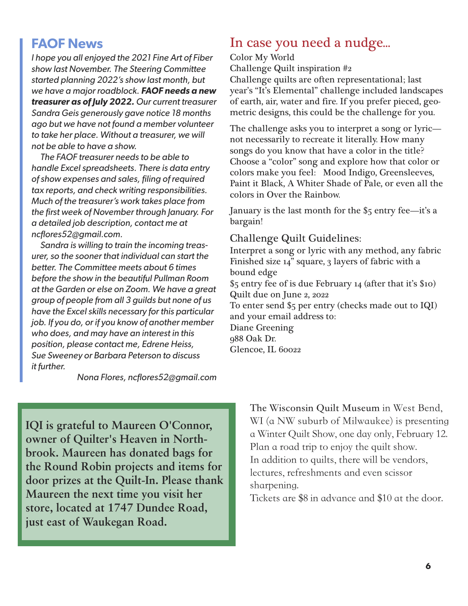### **FAOF News**

*I hope you all enjoyed the 2021 Fine Art of Fiber show last November. The Steering Committee started planning 2022's show last month, but we have a major roadblock. FAOF needs a new treasurer as of July 2022. Our current treasurer Sandra Geis generously gave notice 18 months ago but we have not found a member volunteer to take her place. Without a treasurer, we will not be able to have a show.*

*The FAOF treasurer needs to be able to handle Excel spreadsheets. There is data entry of show expenses and sales, filing of required tax reports, and check writing responsibilities. Much of the treasurer's work takes place from the first week of November through January. For a detailed job description, contact me at ncflores52@gmail.com.*

*Sandra is willing to train the incoming treasurer, so the sooner that individual can start the better. The Committee meets about 6 times before the show in the beautiful Pullman Room at the Garden or else on Zoom. We have a great group of people from all 3 guilds but none of us have the Excel skills necessary for this particular job. If you do, or if you know of another member who does, and may have an interest in this position, please contact me, Edrene Heiss, Sue Sweeney or Barbara Peterson to discuss it further.*

*Nona Flores, ncflores52@gmail.com*

## In case you need a nudge...

Color My World Challenge Quilt inspiration #2

Challenge quilts are often representational; last year's "It's Elemental" challenge included landscapes of earth, air, water and fire. If you prefer pieced, geometric designs, this could be the challenge for you.

The challenge asks you to interpret a song or lyric not necessarily to recreate it literally. How many songs do you know that have a color in the title? Choose a "color" song and explore how that color or colors make you feel: Mood Indigo, Greensleeves, Paint it Black, A Whiter Shade of Pale, or even all the colors in Over the Rainbow.

January is the last month for the \$5 entry fee—it's a bargain!

#### Challenge Quilt Guidelines:

Interpret a song or lyric with any method, any fabric Finished size 14" square, 3 layers of fabric with a bound edge \$5 entry fee of is due February 14 (after that it's \$10) Quilt due on June 2, 2022 To enter send \$5 per entry (checks made out to IQI) and your email address to: Diane Greening 988 Oak Dr. Glencoe, IL 60022

**IQI is grateful to Maureen O'Connor, owner of Quilter's Heaven in Northbrook. Maureen has donated bags for the Round Robin projects and items for door prizes at the Quilt-In. Please thank Maureen the next time you visit her store, located at 1747 Dundee Road, just east of Waukegan Road.**

**The Wisconsin Quilt Museum** in West Bend, WI (a NW suburb of Milwaukee) is presenting a Winter Quilt Show, one day only, February 12. Plan a road trip to enjoy the quilt show. In addition to quilts, there will be vendors, lectures, refreshments and even scissor sharpening.

Tickets are \$8 in advance and \$10 at the door.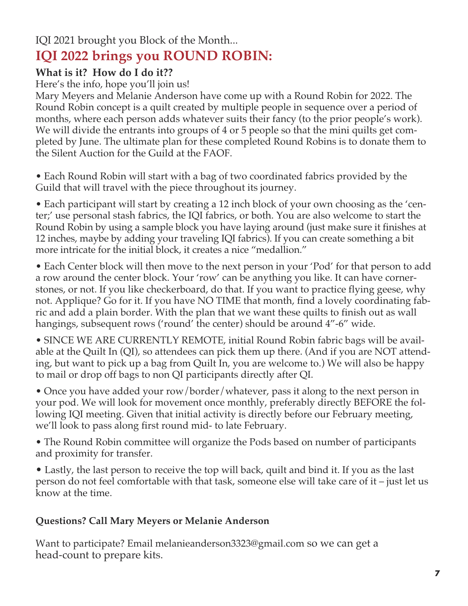## IQI 2021 brought you Block of the Month... **IQI 2022 brings you ROUND ROBIN:**

### **What is it? How do I do it??**

Here's the info, hope you'll join us!

Mary Meyers and Melanie Anderson have come up with a Round Robin for 2022. The Round Robin concept is a quilt created by multiple people in sequence over a period of months, where each person adds whatever suits their fancy (to the prior people's work). We will divide the entrants into groups of 4 or 5 people so that the mini quilts get completed by June. The ultimate plan for these completed Round Robins is to donate them to the Silent Auction for the Guild at the FAOF.

• Each Round Robin will start with a bag of two coordinated fabrics provided by the Guild that will travel with the piece throughout its journey.

• Each participant will start by creating a 12 inch block of your own choosing as the 'center;' use personal stash fabrics, the IQI fabrics, or both. You are also welcome to start the Round Robin by using a sample block you have laying around (just make sure it finishes at 12 inches, maybe by adding your traveling IQI fabrics). If you can create something a bit more intricate for the initial block, it creates a nice "medallion."

• Each Center block will then move to the next person in your 'Pod' for that person to add a row around the center block. Your 'row' can be anything you like. It can have cornerstones, or not. If you like checkerboard, do that. If you want to practice flying geese, why not. Applique? Go for it. If you have NO TIME that month, find a lovely coordinating fabric and add a plain border. With the plan that we want these quilts to finish out as wall hangings, subsequent rows ('round' the center) should be around 4"-6" wide.

• SINCE WE ARE CURRENTLY REMOTE, initial Round Robin fabric bags will be available at the Quilt In (QI), so attendees can pick them up there. (And if you are NOT attending, but want to pick up a bag from Quilt In, you are welcome to.) We will also be happy to mail or drop off bags to non QI participants directly after QI.

• Once you have added your row/border/whatever, pass it along to the next person in your pod. We will look for movement once monthly, preferably directly BEFORE the following IQI meeting. Given that initial activity is directly before our February meeting, we'll look to pass along first round mid- to late February.

• The Round Robin committee will organize the Pods based on number of participants and proximity for transfer.

• Lastly, the last person to receive the top will back, quilt and bind it. If you as the last person do not feel comfortable with that task, someone else will take care of it – just let us know at the time.

#### **Questions? Call Mary Meyers or Melanie Anderson**

Want to participate? Email melanieanderson3323@gmail.com so we can get a head-count to prepare kits.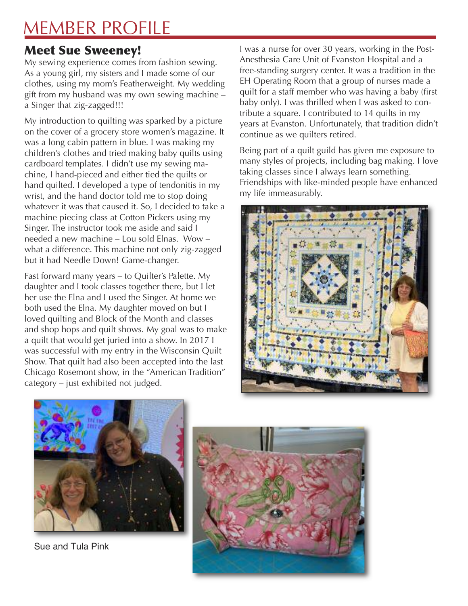## MEMBER PROFILE

## Meet Sue Sweeney!

My sewing experience comes from fashion sewing. As a young girl, my sisters and I made some of our clothes, using my mom's Featherweight. My wedding gift from my husband was my own sewing machine – a Singer that zig-zagged!!!

My introduction to quilting was sparked by a picture on the cover of a grocery store women's magazine. It was a long cabin pattern in blue. I was making my children's clothes and tried making baby quilts using cardboard templates. I didn't use my sewing machine, I hand-pieced and either tied the quilts or hand quilted. I developed a type of tendonitis in my wrist, and the hand doctor told me to stop doing whatever it was that caused it. So, I decided to take a machine piecing class at Cotton Pickers using my Singer. The instructor took me aside and said I needed a new machine – Lou sold Elnas. Wow – what a difference. This machine not only zig-zagged but it had Needle Down! Game-changer.

Fast forward many years – to Quilter's Palette. My daughter and I took classes together there, but I let her use the Elna and I used the Singer. At home we both used the Elna. My daughter moved on but I loved quilting and Block of the Month and classes and shop hops and quilt shows. My goal was to make a quilt that would get juried into a show. In 2017 I was successful with my entry in the Wisconsin Quilt Show. That quilt had also been accepted into the last Chicago Rosemont show, in the "American Tradition" category – just exhibited not judged.

I was a nurse for over 30 years, working in the Post-Anesthesia Care Unit of Evanston Hospital and a free-standing surgery center. It was a tradition in the EH Operating Room that a group of nurses made a quilt for a staff member who was having a baby (first baby only). I was thrilled when I was asked to contribute a square. I contributed to 14 quilts in my years at Evanston. Unfortunately, that tradition didn't continue as we quilters retired.

Being part of a quilt guild has given me exposure to many styles of projects, including bag making. I love taking classes since I always learn something. Friendships with like-minded people have enhanced my life immeasurably.





Sue and Tula Pink

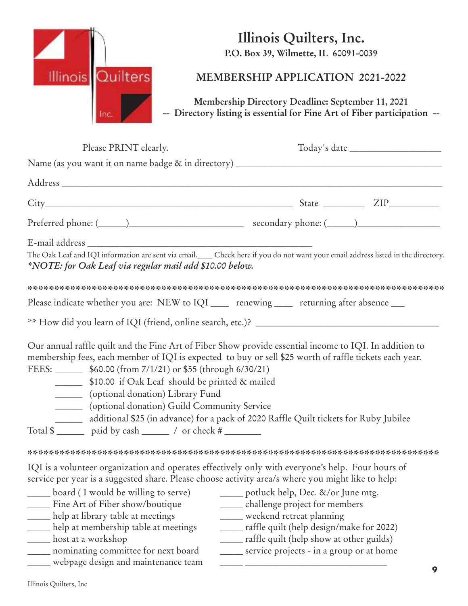

## **Illinois Quilters, Inc.**

**P.O. Box 39, Wilmette, IL 60091-0039**

## **MEMBERSHIP APPLICATION 2021-2022**

**Membership Directory Deadline: September 11, 2021 -- Directory listing is essential for Fine Art of Fiber participation --**

| Please PRINT clearly.                                                                                                                                                                                                                                                                                                                                                                                                                                                                                                                        |                                                                                                                                                                                                                                                        |
|----------------------------------------------------------------------------------------------------------------------------------------------------------------------------------------------------------------------------------------------------------------------------------------------------------------------------------------------------------------------------------------------------------------------------------------------------------------------------------------------------------------------------------------------|--------------------------------------------------------------------------------------------------------------------------------------------------------------------------------------------------------------------------------------------------------|
|                                                                                                                                                                                                                                                                                                                                                                                                                                                                                                                                              |                                                                                                                                                                                                                                                        |
|                                                                                                                                                                                                                                                                                                                                                                                                                                                                                                                                              |                                                                                                                                                                                                                                                        |
|                                                                                                                                                                                                                                                                                                                                                                                                                                                                                                                                              |                                                                                                                                                                                                                                                        |
|                                                                                                                                                                                                                                                                                                                                                                                                                                                                                                                                              |                                                                                                                                                                                                                                                        |
| *NOTE: for Oak Leaf via regular mail add \$10.00 below.                                                                                                                                                                                                                                                                                                                                                                                                                                                                                      | The Oak Leaf and IQI information are sent via email. Check here if you do not want your email address listed in the directory.                                                                                                                         |
| Please indicate whether you are: NEW to IQI _____ renewing _____ returning after absence ___                                                                                                                                                                                                                                                                                                                                                                                                                                                 |                                                                                                                                                                                                                                                        |
|                                                                                                                                                                                                                                                                                                                                                                                                                                                                                                                                              |                                                                                                                                                                                                                                                        |
| Our annual raffle quilt and the Fine Art of Fiber Show provide essential income to IQI. In addition to<br>membership fees, each member of IQI is expected to buy or sell \$25 worth of raffle tickets each year.<br>FEES: _________ \$60.00 (from 7/1/21) or \$55 (through 6/30/21)<br>_________ \$10.00 if Oak Leaf should be printed & mailed<br>_______ (optional donation) Library Fund<br>________ (optional donation) Guild Community Service<br>additional \$25 (in advance) for a pack of 2020 Raffle Quilt tickets for Ruby Jubilee |                                                                                                                                                                                                                                                        |
| IQI is a volunteer organization and operates effectively only with everyone's help. Four hours of<br>service per year is a suggested share. Please choose activity area/s where you might like to help:<br>board (I would be willing to serve)<br>Fine Art of Fiber show/boutique<br>help at library table at meetings<br>help at membership table at meetings<br>___ host at a workshop<br>nominating committee for next board<br>webpage design and maintenance team                                                                       | _____ potluck help, Dec. &/or June mtg.<br>___ challenge project for members<br>weekend retreat planning<br>____ raffle quilt (help design/make for 2022)<br>____ raffle quilt (help show at other guilds)<br>service projects - in a group or at home |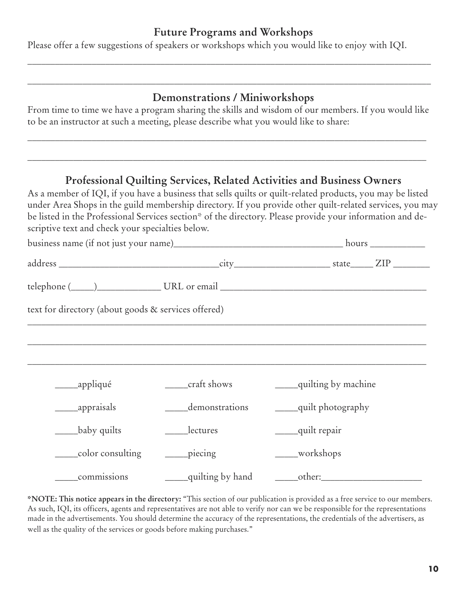#### **Future Programs and Workshops**

\_\_\_\_\_\_\_\_\_\_\_\_\_\_\_\_\_\_\_\_\_\_\_\_\_\_\_\_\_\_\_\_\_\_\_\_\_\_\_\_\_\_\_\_\_\_\_\_\_\_\_\_\_\_\_\_\_\_\_\_\_\_\_\_\_\_\_\_\_\_\_\_\_\_\_\_\_\_\_\_\_\_\_\_\_\_\_\_

\_\_\_\_\_\_\_\_\_\_\_\_\_\_\_\_\_\_\_\_\_\_\_\_\_\_\_\_\_\_\_\_\_\_\_\_\_\_\_\_\_\_\_\_\_\_\_\_\_\_\_\_\_\_\_\_\_\_\_\_\_\_\_\_\_\_\_\_\_\_\_\_\_\_\_\_\_\_\_\_\_\_\_\_\_\_\_\_

Please offer a few suggestions of speakers or workshops which you would like to enjoy with IQI.

#### **Demonstrations / Miniworkshops**

From time to time we have a program sharing the skills and wisdom of our members. If you would like to be an instructor at such a meeting, please describe what you would like to share:

\_\_\_\_\_\_\_\_\_\_\_\_\_\_\_\_\_\_\_\_\_\_\_\_\_\_\_\_\_\_\_\_\_\_\_\_\_\_\_\_\_\_\_\_\_\_\_\_\_\_\_\_\_\_\_\_\_\_\_\_\_\_\_\_\_\_\_\_\_\_\_\_\_\_\_\_\_\_\_\_\_\_\_\_\_\_\_

\_\_\_\_\_\_\_\_\_\_\_\_\_\_\_\_\_\_\_\_\_\_\_\_\_\_\_\_\_\_\_\_\_\_\_\_\_\_\_\_\_\_\_\_\_\_\_\_\_\_\_\_\_\_\_\_\_\_\_\_\_\_\_\_\_\_\_\_\_\_\_\_\_\_\_\_\_\_\_\_\_\_\_\_\_\_\_

#### **Professional Quilting Services, Related Activities and Business Owners**

As a member of IQI, if you have a business that sells quilts or quilt-related products, you may be listed under Area Shops in the guild membership directory. If you provide other quilt-related services, you may be listed in the Professional Services section\* of the directory. Please provide your information and descriptive text and check your specialties below.

| text for directory (about goods & services offered) |                              |                         |
|-----------------------------------------------------|------------------------------|-------------------------|
|                                                     |                              |                         |
|                                                     |                              |                         |
| ______appliqué                                      | _____craft shows             | ____quilting by machine |
|                                                     | demonstrations               | ____quilt photography   |
| baby quilts                                         | _____lectures                | ____quilt repair        |
| color consulting                                    | $\rule{1em}{0.15mm}$ piecing | ___workshops            |
| commissions                                         | ____quilting by hand         | other:                  |

**\*NOTE: This notice appears in the directory:** "This section of our publication is provided as a free service to our members. As such, IQI, its officers, agents and representatives are not able to verify nor can we be responsible for the representations made in the advertisements. You should determine the accuracy of the representations, the credentials of the advertisers, as well as the quality of the services or goods before making purchases."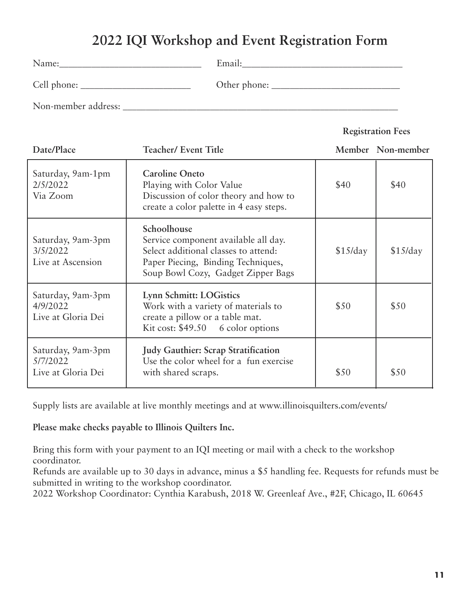## **2022 IQI Workshop and Event Registration Form**

| Name:               | Email:       |
|---------------------|--------------|
| Cell phone:         | Other phone: |
| Non-member address: |              |

#### **Registration Fees**

| Date/Place                                          | <b>Teacher/ Event Title</b>                                                                                                                                             |          | Member Non-member |
|-----------------------------------------------------|-------------------------------------------------------------------------------------------------------------------------------------------------------------------------|----------|-------------------|
| Saturday, 9am-1pm<br>2/5/2022<br>Via Zoom           | <b>Caroline Oneto</b><br>Playing with Color Value<br>Discussion of color theory and how to<br>create a color palette in 4 easy steps.                                   | \$40     | \$40              |
| Saturday, 9am-3pm<br>3/5/2022<br>Live at Ascension  | Schoolhouse<br>Service component available all day.<br>Select additional classes to attend:<br>Paper Piecing, Binding Techniques,<br>Soup Bowl Cozy, Gadget Zipper Bags | \$15/day | \$15/day          |
| Saturday, 9am-3pm<br>4/9/2022<br>Live at Gloria Dei | Lynn Schmitt: LOGistics<br>Work with a variety of materials to<br>create a pillow or a table mat.<br>Kit cost: $$49.50$ 6 color options                                 | \$50     | \$50              |
| Saturday, 9am-3pm<br>5/7/2022<br>Live at Gloria Dei | <b>Judy Gauthier: Scrap Stratification</b><br>Use the color wheel for a fun exercise<br>with shared scraps.                                                             | \$50     | \$50              |

Supply lists are available at live monthly meetings and at www.illinoisquilters.com/events/

**Please make checks payable to Illinois Quilters Inc.**

Bring this form with your payment to an IQI meeting or mail with a check to the workshop coordinator.

Refunds are available up to 30 days in advance, minus a \$5 handling fee. Requests for refunds must be submitted in writing to the workshop coordinator.

2022 Workshop Coordinator: Cynthia Karabush, 2018 W. Greenleaf Ave., #2F, Chicago, IL 60645